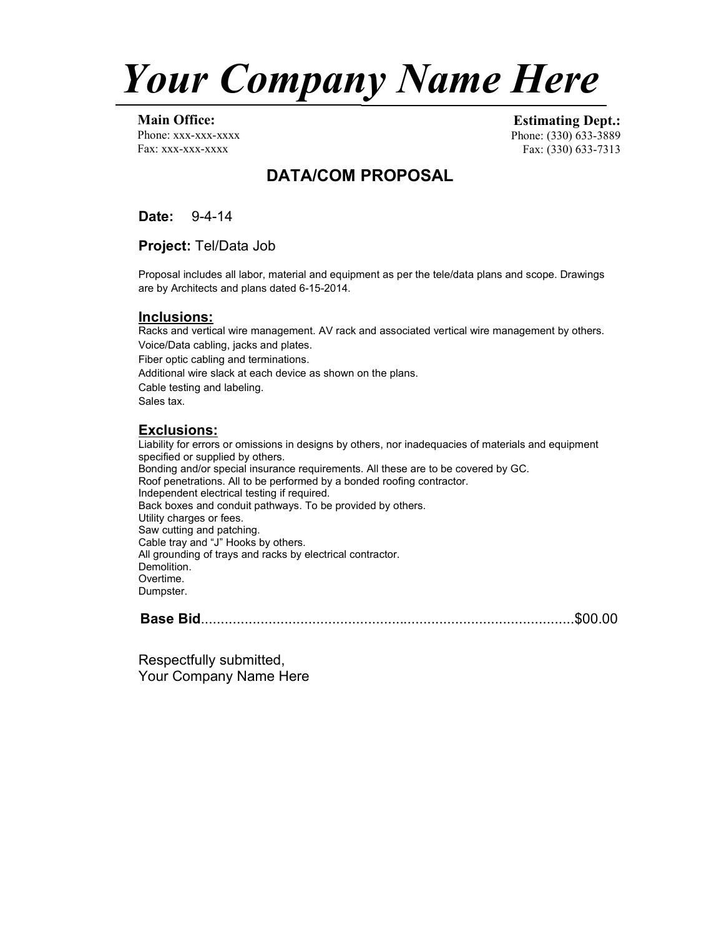

**Main Office:** Phone: xxx-xxx-xxxx Fax: xxx-xxx-xxxx

**Estimating Dept.:** Phone: (330) 633-3889 Fax: (330) 633-7313

# **DATA/COM PROPOSAL**

**Date:** 9-4-14

**Project:** Tel/Data Job

Proposal includes all labor, material and equipment as per the tele/data plans and scope. Drawings are by Architects and plans dated 6-15-2014.

### **Inclusions:**

Racks and vertical wire management. AV rack and associated vertical wire management by others. Voice/Data cabling, jacks and plates. Fiber optic cabling and terminations. Additional wire slack at each device as shown on the plans. Cable testing and labeling. Sales tax.

### **Exclusions:**

Liability for errors or omissions in designs by others, nor inadequacies of materials and equipment specified or supplied by others. Bonding and/or special insurance requirements. All these are to be covered by GC. Roof penetrations. All to be performed by a bonded roofing contractor. Independent electrical testing if required. Back boxes and conduit pathways. To be provided by others. Utility charges or fees. Saw cutting and patching. Cable tray and "J" Hooks by others. All grounding of trays and racks by electrical contractor. Demolition. Overtime. Dumpster.

**Base Bid**..............................................................................................\$00.00

Respectfully submitted, Your Company Name Here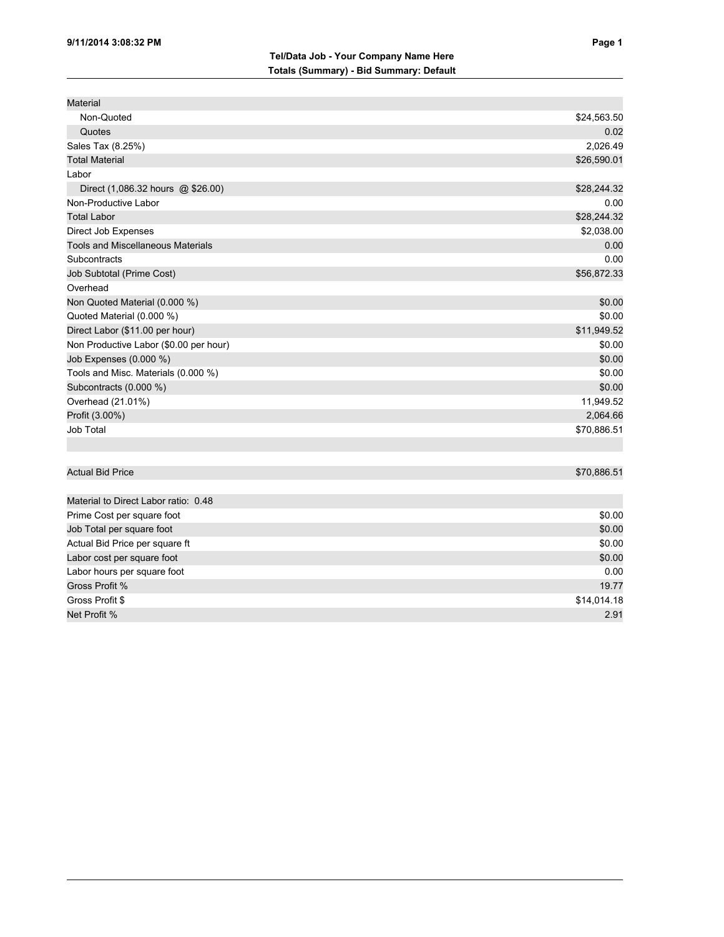| Material                                 |             |
|------------------------------------------|-------------|
| Non-Quoted                               | \$24,563.50 |
| Quotes                                   | 0.02        |
| Sales Tax (8.25%)                        | 2,026.49    |
| <b>Total Material</b>                    | \$26,590.01 |
| Labor                                    |             |
| Direct (1,086.32 hours @ \$26.00)        | \$28,244.32 |
| Non-Productive Labor                     | 0.00        |
| <b>Total Labor</b>                       | \$28,244.32 |
| Direct Job Expenses                      | \$2,038.00  |
| <b>Tools and Miscellaneous Materials</b> | 0.00        |
| Subcontracts                             | 0.00        |
| Job Subtotal (Prime Cost)                | \$56,872.33 |
| Overhead                                 |             |
| Non Quoted Material (0.000 %)            | \$0.00      |
| Quoted Material (0.000 %)                | \$0.00      |
| Direct Labor (\$11.00 per hour)          | \$11,949.52 |
| Non Productive Labor (\$0.00 per hour)   | \$0.00      |
| Job Expenses (0.000 %)                   | \$0.00      |
| Tools and Misc. Materials (0.000 %)      | \$0.00      |
| Subcontracts (0.000 %)                   | \$0.00      |
| Overhead (21.01%)                        | 11,949.52   |
| Profit (3.00%)                           | 2,064.66    |
| Job Total                                | \$70,886.51 |
|                                          |             |
| <b>Actual Bid Price</b>                  | \$70,886.51 |
|                                          |             |
| Material to Direct Labor ratio: 0.48     |             |
| Prime Cost per square foot               | \$0.00      |
| Job Total per square foot                | \$0.00      |
| Actual Bid Price per square ft           | \$0.00      |
| Labor cost per square foot               | \$0.00      |
| Labor hours per square foot              | 0.00        |
| Gross Profit %                           | 19.77       |
| Gross Profit \$                          | \$14,014.18 |
| Net Profit %                             | 2.91        |
|                                          |             |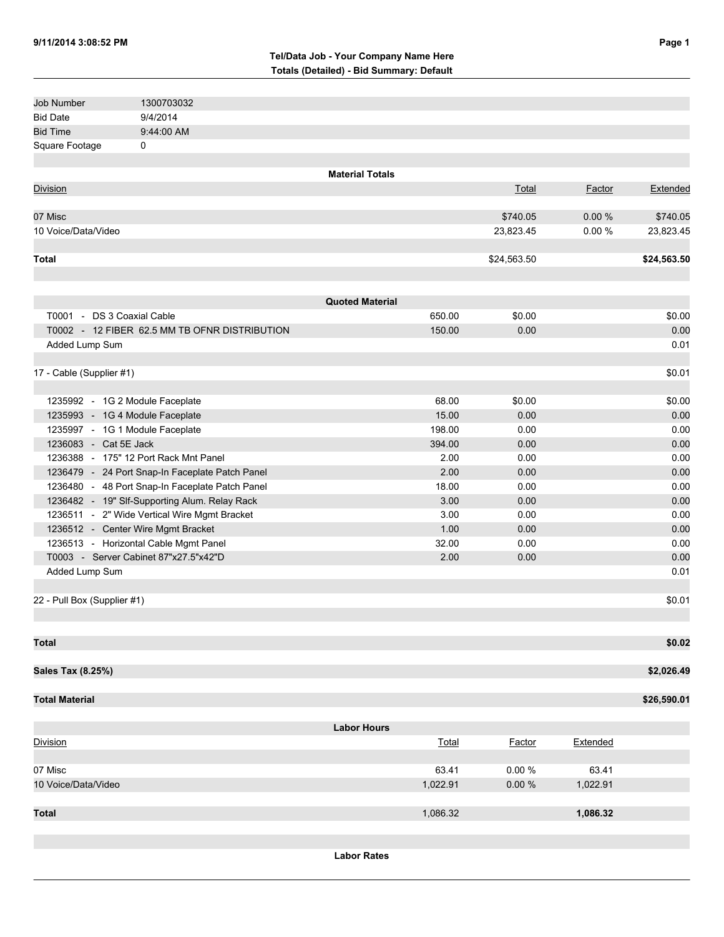#### **Tel/Data Job - Your Company Name Here Totals (Detailed) - Bid Summary: Default**

| Job Number                      | 1300703032                                      |                        |          |             |          |             |
|---------------------------------|-------------------------------------------------|------------------------|----------|-------------|----------|-------------|
| <b>Bid Date</b>                 | 9/4/2014                                        |                        |          |             |          |             |
| <b>Bid Time</b>                 | 9:44:00 AM                                      |                        |          |             |          |             |
| Square Footage                  | 0                                               |                        |          |             |          |             |
|                                 |                                                 |                        |          |             |          |             |
|                                 |                                                 | <b>Material Totals</b> |          |             |          |             |
| <b>Division</b>                 |                                                 |                        |          | Total       | Factor   | Extended    |
|                                 |                                                 |                        |          |             |          |             |
| 07 Misc                         |                                                 |                        |          | \$740.05    | 0.00%    | \$740.05    |
| 10 Voice/Data/Video             |                                                 |                        |          | 23,823.45   | 0.00%    | 23,823.45   |
|                                 |                                                 |                        |          |             |          |             |
| <b>Total</b>                    |                                                 |                        |          | \$24,563.50 |          | \$24,563.50 |
|                                 |                                                 |                        |          |             |          |             |
|                                 |                                                 |                        |          |             |          |             |
|                                 |                                                 | <b>Quoted Material</b> |          |             |          |             |
| T0001 - DS 3 Coaxial Cable      |                                                 |                        | 650.00   | \$0.00      |          | \$0.00      |
|                                 | T0002 - 12 FIBER 62.5 MM TB OFNR DISTRIBUTION   |                        | 150.00   | 0.00        |          | 0.00        |
| Added Lump Sum                  |                                                 |                        |          |             |          | 0.01        |
|                                 |                                                 |                        |          |             |          |             |
| 17 - Cable (Supplier #1)        |                                                 |                        |          |             |          | \$0.01      |
|                                 |                                                 |                        |          |             |          |             |
| 1235992 - 1G 2 Module Faceplate |                                                 |                        | 68.00    | \$0.00      |          | \$0.00      |
| 1235993 - 1G 4 Module Faceplate |                                                 |                        | 15.00    | 0.00        |          | 0.00        |
| 1235997 - 1G 1 Module Faceplate |                                                 |                        | 198.00   | 0.00        |          | 0.00        |
| 1236083 - Cat 5E Jack           |                                                 |                        | 394.00   |             |          | 0.00        |
|                                 |                                                 |                        |          | 0.00        |          |             |
|                                 | 1236388 - 175" 12 Port Rack Mnt Panel           |                        | 2.00     | 0.00        |          | 0.00        |
|                                 | 1236479 - 24 Port Snap-In Faceplate Patch Panel |                        | 2.00     | 0.00        |          | 0.00        |
|                                 | 1236480 - 48 Port Snap-In Faceplate Patch Panel |                        | 18.00    | 0.00        |          | 0.00        |
|                                 | 1236482 - 19" Slf-Supporting Alum. Relay Rack   |                        | 3.00     | 0.00        |          | 0.00        |
|                                 | 1236511 - 2" Wide Vertical Wire Mgmt Bracket    |                        | 3.00     | 0.00        |          | 0.00        |
|                                 | 1236512 - Center Wire Mgmt Bracket              |                        | 1.00     | 0.00        |          | 0.00        |
|                                 | 1236513 - Horizontal Cable Mgmt Panel           |                        | 32.00    | 0.00        |          | 0.00        |
|                                 | T0003 - Server Cabinet 87"x27.5"x42"D           |                        | 2.00     | 0.00        |          | 0.00        |
| Added Lump Sum                  |                                                 |                        |          |             |          | 0.01        |
|                                 |                                                 |                        |          |             |          |             |
| 22 - Pull Box (Supplier #1)     |                                                 |                        |          |             |          | \$0.01      |
|                                 |                                                 |                        |          |             |          |             |
|                                 |                                                 |                        |          |             |          |             |
| <b>Total</b>                    |                                                 |                        |          |             |          | \$0.02      |
|                                 |                                                 |                        |          |             |          |             |
| Sales Tax (8.25%)               |                                                 |                        |          |             |          | \$2,026.49  |
|                                 |                                                 |                        |          |             |          |             |
| <b>Total Material</b>           |                                                 |                        |          |             |          | \$26,590.01 |
|                                 |                                                 |                        |          |             |          |             |
|                                 |                                                 | <b>Labor Hours</b>     |          |             |          |             |
| Division                        |                                                 |                        | Total    | Factor      | Extended |             |
|                                 |                                                 |                        |          |             |          |             |
| 07 Misc                         |                                                 |                        | 63.41    | 0.00%       | 63.41    |             |
| 10 Voice/Data/Video             |                                                 |                        | 1,022.91 | $0.00 \%$   | 1,022.91 |             |
|                                 |                                                 |                        |          |             |          |             |
| <b>Total</b>                    |                                                 |                        | 1,086.32 |             | 1,086.32 |             |
|                                 |                                                 |                        |          |             |          |             |
|                                 |                                                 |                        |          |             |          |             |
|                                 |                                                 |                        |          |             |          |             |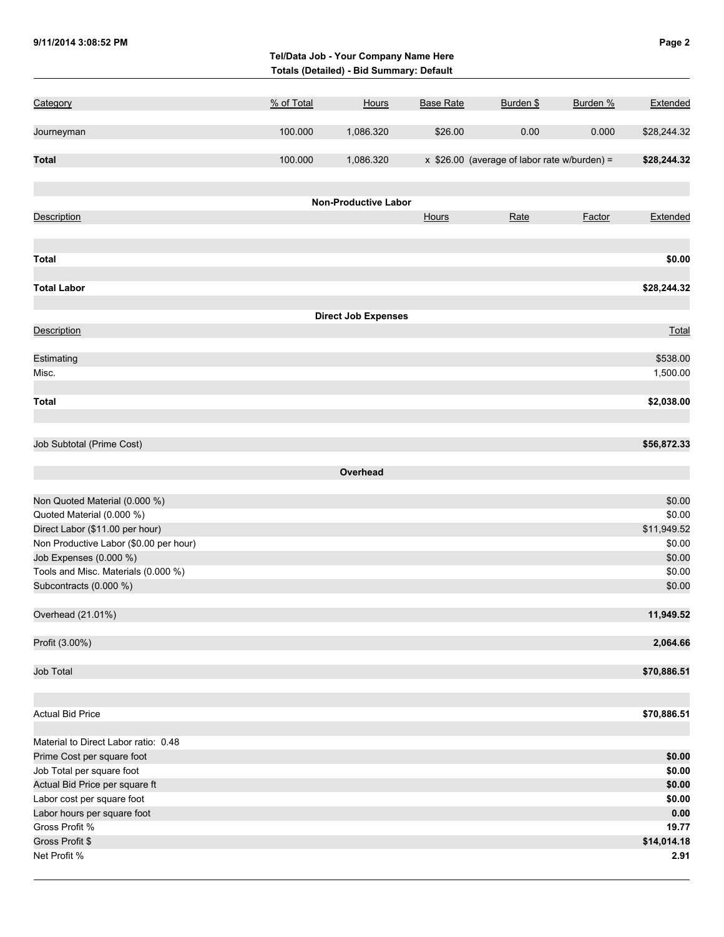|                                        |            | Tel/Data Job - Your Company Name Here<br>Totals (Detailed) - Bid Summary: Default |                  |                                              |               |             |  |
|----------------------------------------|------------|-----------------------------------------------------------------------------------|------------------|----------------------------------------------|---------------|-------------|--|
| Category                               | % of Total | <b>Hours</b>                                                                      | <b>Base Rate</b> | Burden \$                                    | Burden %      | Extended    |  |
| Journeyman                             | 100.000    | 1,086.320                                                                         | \$26.00          | 0.00                                         | 0.000         | \$28,244.32 |  |
| <b>Total</b>                           | 100.000    |                                                                                   |                  | x \$26.00 (average of labor rate w/burden) = |               | \$28,244.32 |  |
|                                        |            | 1,086.320                                                                         |                  |                                              |               |             |  |
|                                        |            | <b>Non-Productive Labor</b>                                                       |                  |                                              |               |             |  |
| <b>Description</b>                     |            |                                                                                   | Hours            | Rate                                         | <b>Factor</b> | Extended    |  |
| <b>Total</b>                           |            |                                                                                   |                  |                                              |               | \$0.00      |  |
| <b>Total Labor</b>                     |            |                                                                                   |                  |                                              |               | \$28,244.32 |  |
|                                        |            |                                                                                   |                  |                                              |               |             |  |
|                                        |            | <b>Direct Job Expenses</b>                                                        |                  |                                              |               |             |  |
| <b>Description</b>                     |            |                                                                                   |                  |                                              |               | Total       |  |
| Estimating                             |            |                                                                                   |                  |                                              |               | \$538.00    |  |
| Misc.                                  |            |                                                                                   |                  |                                              |               | 1,500.00    |  |
|                                        |            |                                                                                   |                  |                                              |               |             |  |
| <b>Total</b>                           |            |                                                                                   |                  |                                              |               | \$2,038.00  |  |
| Job Subtotal (Prime Cost)              |            |                                                                                   |                  |                                              |               | \$56,872.33 |  |
|                                        |            | Overhead                                                                          |                  |                                              |               |             |  |
|                                        |            |                                                                                   |                  |                                              |               |             |  |
| Non Quoted Material (0.000 %)          |            |                                                                                   |                  |                                              |               | \$0.00      |  |
| Quoted Material (0.000 %)              |            |                                                                                   |                  |                                              |               | \$0.00      |  |
| Direct Labor (\$11.00 per hour)        |            |                                                                                   |                  |                                              |               | \$11,949.52 |  |
| Non Productive Labor (\$0.00 per hour) |            |                                                                                   |                  |                                              |               | \$0.00      |  |
| Job Expenses (0.000 %)                 |            |                                                                                   |                  |                                              |               | \$0.00      |  |
| Tools and Misc. Materials (0.000 %)    |            |                                                                                   |                  |                                              |               | \$0.00      |  |
| Subcontracts (0.000 %)                 |            |                                                                                   |                  |                                              |               | \$0.00      |  |
| Overhead (21.01%)                      |            |                                                                                   |                  |                                              |               | 11,949.52   |  |
| Profit (3.00%)                         |            |                                                                                   |                  |                                              |               | 2,064.66    |  |
| Job Total                              |            |                                                                                   |                  |                                              |               | \$70,886.51 |  |
| <b>Actual Bid Price</b>                |            |                                                                                   |                  |                                              |               | \$70,886.51 |  |
| Material to Direct Labor ratio: 0.48   |            |                                                                                   |                  |                                              |               |             |  |
| Prime Cost per square foot             |            |                                                                                   |                  |                                              |               | \$0.00      |  |
| Job Total per square foot              |            |                                                                                   |                  |                                              |               | \$0.00      |  |
| Actual Bid Price per square ft         |            |                                                                                   |                  |                                              |               | \$0.00      |  |
| Labor cost per square foot             |            |                                                                                   |                  |                                              |               | \$0.00      |  |
| Labor hours per square foot            |            |                                                                                   |                  |                                              |               | 0.00        |  |
| Gross Profit %                         |            |                                                                                   |                  |                                              |               | 19.77       |  |
| Gross Profit \$                        |            |                                                                                   |                  |                                              |               | \$14,014.18 |  |
| Net Profit %                           |            |                                                                                   |                  |                                              |               | 2.91        |  |

**9/11/2014 3:08:52 PM Page 2**